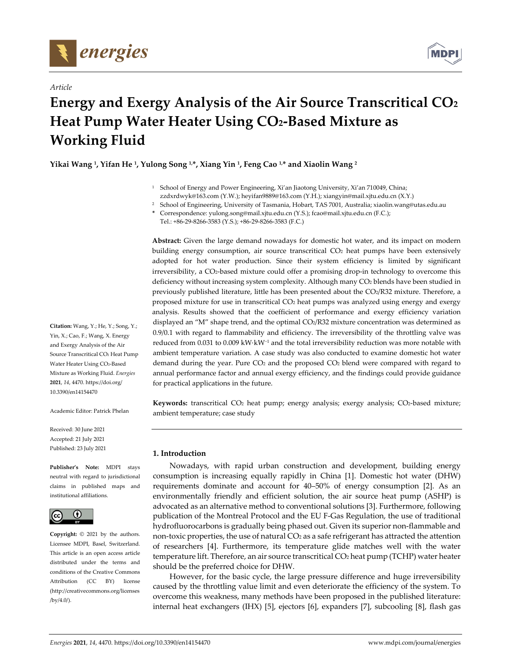

*Article*



# **Energy and Exergy Analysis of the Air Source Transcritical CO2 Heat Pump Water Heater Using CO2‐Based Mixture as Working Fluid**

**Yikai Wang 1, Yifan He 1, Yulong Song 1,\*, Xiang Yin 1, Feng Cao 1,\* and Xiaolin Wang <sup>2</sup>**

- <sup>1</sup> School of Energy and Power Engineering, Xi'an Jiaotong University, Xi'an 710049, China; zzdxrdwyk@163.com (Y.W.); heyifan9889@163.com (Y.H.); xiangyin@mail.xjtu.edu.cn (X.Y.)
- <sup>2</sup> School of Engineering, University of Tasmania, Hobart, TAS 7001, Australia; xiaolin.wang@utas.edu.au
- **\*** Correspondence: yulong.song@mail.xjtu.edu.cn (Y.S.); fcao@mail.xjtu.edu.cn (F.C.);

Tel.: +86‐29‐8266‐3583 (Y.S.); +86‐29‐8266‐3583 (F.C.)

**Abstract:** Given the large demand nowadays for domestic hot water, and its impact on modern building energy consumption, air source transcritical CO2 heat pumps have been extensively adopted for hot water production. Since their system efficiency is limited by significant irreversibility, a CO2-based mixture could offer a promising drop-in technology to overcome this deficiency without increasing system complexity. Although many CO<sub>2</sub> blends have been studied in previously published literature, little has been presented about the CO2/R32 mixture. Therefore, a proposed mixture for use in transcritical CO<sub>2</sub> heat pumps was analyzed using energy and exergy analysis. Results showed that the coefficient of performance and exergy efficiency variation displayed an "M" shape trend, and the optimal CO2/R32 mixture concentration was determined as 0.9/0.1 with regard to flammability and efficiency. The irreversibility of the throttling valve was reduced from 0.031 to 0.009 kW⋅kW<sup>-1</sup> and the total irreversibility reduction was more notable with ambient temperature variation. A case study was also conducted to examine domestic hot water demand during the year. Pure CO2 and the proposed CO2 blend were compared with regard to annual performance factor and annual exergy efficiency, and the findings could provide guidance for practical applications in the future.

Keywords: transcritical CO<sub>2</sub> heat pump; energy analysis; exergy analysis; CO<sub>2</sub>-based mixture; ambient temperature; case study

# **1. Introduction**

Nowadays, with rapid urban construction and development, building energy consumption is increasing equally rapidly in China [1]. Domestic hot water (DHW) requirements dominate and account for 40–50% of energy consumption [2]. As an environmentally friendly and efficient solution, the air source heat pump (ASHP) is advocated as an alternative method to conventional solutions [3]. Furthermore, following publication of the Montreal Protocol and the EU F‐Gas Regulation, the use of traditional hydrofluorocarbons is gradually being phased out. Given its superior non‐flammable and non-toxic properties, the use of natural  $CO<sub>2</sub>$  as a safe refrigerant has attracted the attention of researchers [4]. Furthermore, its temperature glide matches well with the water temperature lift. Therefore, an air source transcritical  $CO<sub>2</sub>$  heat pump (TCHP) water heater should be the preferred choice for DHW.

However, for the basic cycle, the large pressure difference and huge irreversibility caused by the throttling value limit and even deteriorate the efficiency of the system. To overcome this weakness, many methods have been proposed in the published literature: internal heat exchangers (IHX) [5], ejectors [6], expanders [7], subcooling [8], flash gas

**Citation:** Wang, Y.; He, Y.; Song, Y.; Yin, X.; Cao, F.; Wang, X. Energy and Exergy Analysis of the Air Source Transcritical CO2 Heat Pump Water Heater Using CO<sub>2</sub>-Based Mixture as Working Fluid. *Energies* **2021**, *14*, 4470. https://doi.org/ 10.3390/en14154470

Academic Editor: Patrick Phelan

Received: 30 June 2021 Accepted: 21 July 2021 Published: 23 July 2021

**Publisher's Note:** MDPI stays neutral with regard to jurisdictional claims in published maps and institutional affiliations.



**Copyright:** © 2021 by the authors. Licensee MDPI, Basel, Switzerland. This article is an open access article distributed under the terms and conditions of the Creative Commons Attribution (CC BY) license (http://creativecommons.org/licenses /by/4.0/).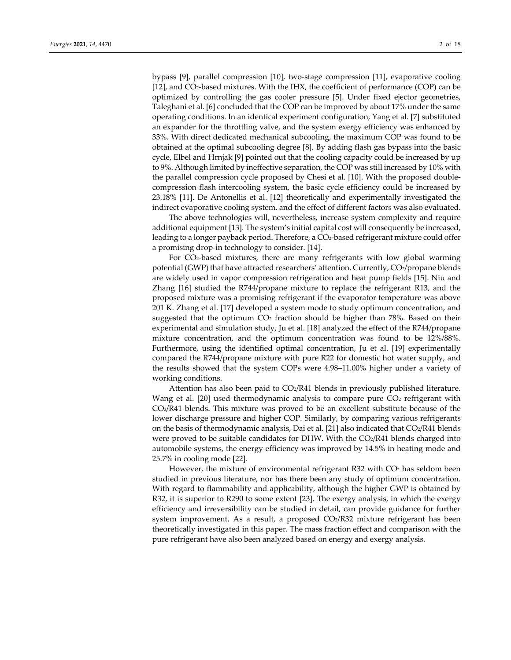bypass [9], parallel compression [10], two‐stage compression [11], evaporative cooling [12], and CO<sub>2</sub>-based mixtures. With the IHX, the coefficient of performance (COP) can be optimized by controlling the gas cooler pressure [5]. Under fixed ejector geometries, Taleghani et al. [6] concluded that the COP can be improved by about 17% under the same operating conditions. In an identical experiment configuration, Yang et al. [7] substituted an expander for the throttling valve, and the system exergy efficiency was enhanced by 33%. With direct dedicated mechanical subcooling, the maximum COP was found to be obtained at the optimal subcooling degree [8]. By adding flash gas bypass into the basic cycle, Elbel and Hrnjak [9] pointed out that the cooling capacity could be increased by up to 9%. Although limited by ineffective separation, the COP was still increased by 10% with the parallel compression cycle proposed by Chesi et al. [10]. With the proposed double‐ compression flash intercooling system, the basic cycle efficiency could be increased by 23.18% [11]. De Antonellis et al. [12] theoretically and experimentally investigated the indirect evaporative cooling system, and the effect of different factors was also evaluated.

The above technologies will, nevertheless, increase system complexity and require additional equipment [13]. The system's initial capital cost will consequently be increased, leading to a longer payback period. Therefore, a CO2-based refrigerant mixture could offer a promising drop‐in technology to consider. [14].

For CO<sub>2</sub>-based mixtures, there are many refrigerants with low global warming potential (GWP) that have attracted researchers' attention. Currently, CO2/propane blends are widely used in vapor compression refrigeration and heat pump fields [15]. Niu and Zhang [16] studied the R744/propane mixture to replace the refrigerant R13, and the proposed mixture was a promising refrigerant if the evaporator temperature was above 201 K. Zhang et al. [17] developed a system mode to study optimum concentration, and suggested that the optimum  $CO<sub>2</sub>$  fraction should be higher than 78%. Based on their experimental and simulation study, Ju et al. [18] analyzed the effect of the R744/propane mixture concentration, and the optimum concentration was found to be 12%/88%. Furthermore, using the identified optimal concentration, Ju et al. [19] experimentally compared the R744/propane mixture with pure R22 for domestic hot water supply, and the results showed that the system COPs were 4.98–11.00% higher under a variety of working conditions.

Attention has also been paid to  $CO<sub>2</sub>/R41$  blends in previously published literature. Wang et al. [20] used thermodynamic analysis to compare pure CO<sub>2</sub> refrigerant with CO2/R41 blends. This mixture was proved to be an excellent substitute because of the lower discharge pressure and higher COP. Similarly, by comparing various refrigerants on the basis of thermodynamic analysis, Dai et al. [21] also indicated that CO2/R41 blends were proved to be suitable candidates for DHW. With the  $CO<sub>2</sub>/R41$  blends charged into automobile systems, the energy efficiency was improved by 14.5% in heating mode and 25.7% in cooling mode [22].

However, the mixture of environmental refrigerant R32 with CO2 has seldom been studied in previous literature, nor has there been any study of optimum concentration. With regard to flammability and applicability, although the higher GWP is obtained by R32, it is superior to R290 to some extent [23]. The exergy analysis, in which the exergy efficiency and irreversibility can be studied in detail, can provide guidance for further system improvement. As a result, a proposed  $CO<sub>2</sub>/R32$  mixture refrigerant has been theoretically investigated in this paper. The mass fraction effect and comparison with the pure refrigerant have also been analyzed based on energy and exergy analysis.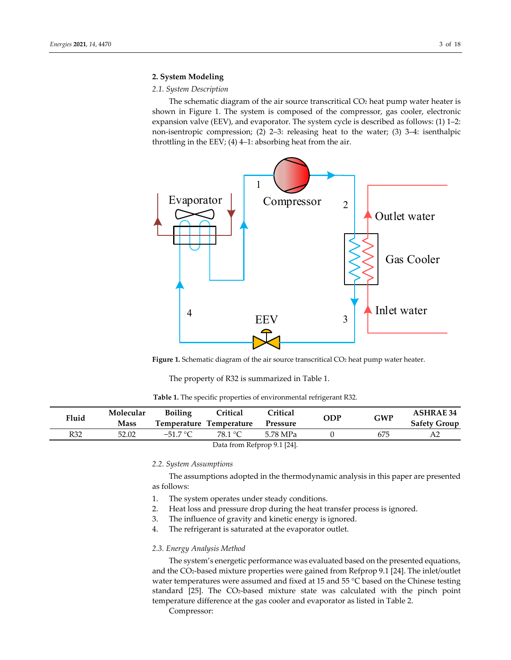# **2. System Modeling**

#### *2.1. System Description*

The schematic diagram of the air source transcritical CO2 heat pump water heater is shown in Figure 1. The system is composed of the compressor, gas cooler, electronic expansion valve (EEV), and evaporator. The system cycle is described as follows: (1) 1–2: non‐isentropic compression; (2) 2–3: releasing heat to the water; (3) 3–4: isenthalpic throttling in the EEV; (4) 4–1: absorbing heat from the air.



**Figure 1.** Schematic diagram of the air source transcritical CO2 heat pump water heater.

The property of R32 is summarized in Table 1.

|  |  |  |  |  |  |  | <b>Table 1.</b> The specific properties of environmental refrigerant R32. |  |
|--|--|--|--|--|--|--|---------------------------------------------------------------------------|--|
|--|--|--|--|--|--|--|---------------------------------------------------------------------------|--|

| Fluid                       | Molecular   | <b>Boiling</b> | Critical<br><b>Critical</b> |          | <b>ODP</b> | <b>GWP</b> | <b>ASHRAE 34</b>    |
|-----------------------------|-------------|----------------|-----------------------------|----------|------------|------------|---------------------|
|                             | <b>Mass</b> |                | Temperature Temperature     | Pressure |            |            | <b>Safety Group</b> |
| R32                         | 52.02       | $-51.7 °C$     | 78.1 °C                     | 5.78 MPa |            | 675        | A2                  |
| Data from Refprop 9.1 [24]. |             |                |                             |          |            |            |                     |

#### *2.2. System Assumptions*

The assumptions adopted in the thermodynamic analysis in this paper are presented as follows:

- 1. The system operates under steady conditions.
- 2. Heat loss and pressure drop during the heat transfer process is ignored.
- 3. The influence of gravity and kinetic energy is ignored.
- 4. The refrigerant is saturated at the evaporator outlet.

## *2.3. Energy Analysis Method*

The system's energetic performance was evaluated based on the presented equations, and the CO2‐based mixture properties were gained from Refprop 9.1 [24]. The inlet/outlet water temperatures were assumed and fixed at 15 and 55 °C based on the Chinese testing standard [25]. The CO<sub>2</sub>-based mixture state was calculated with the pinch point temperature difference at the gas cooler and evaporator as listed in Table 2.

Compressor: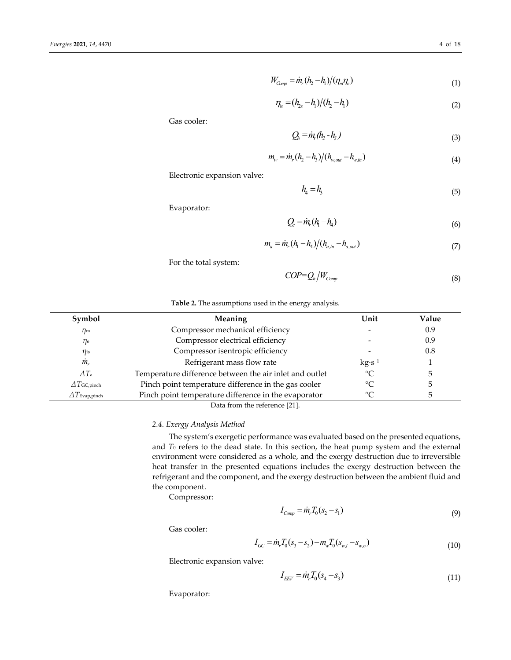$$
W_{Comp} = \dot{m}_r (h_2 - h_1) / (\eta_m \eta_e)
$$
\n<sup>(1)</sup>

$$
\eta_{is} = (h_{2s} - h_1)/(h_2 - h_1) \tag{2}
$$

Gas cooler:

$$
Q_h = m \cdot (h_2 - h_3) \tag{3}
$$

$$
m_w = \dot{m}_r (h_2 - h_3) / (h_{w,out} - h_{w,in})
$$
\n(4)

Electronic expansion valve:

$$
h_4 = h_3 \tag{5}
$$

Evaporator:

$$
Q_c = i\eta_r (h_1 - h_4) \tag{6}
$$

$$
m_a = \dot{m}_r (h_1 - h_4) / (h_{a,in} - h_{a,out})
$$
\n(7)

For the total system:

$$
COP = Q_h / W_{Comp} \tag{8}
$$

## **Table 2.** The assumptions used in the energy analysis.

| Symbol                   | Meaning                                                 | Unit        | Value |
|--------------------------|---------------------------------------------------------|-------------|-------|
| $\eta_{\rm m}$           | Compressor mechanical efficiency                        |             | 0.9   |
| $\eta_{\rm e}$           | Compressor electrical efficiency                        |             | 0.9   |
| $\eta$ is                | Compressor isentropic efficiency                        |             | 0.8   |
| $m_{r}$                  | Refrigerant mass flow rate                              | $kg·s-1$    |       |
| $\Delta T_a$             | Temperature difference between the air inlet and outlet | $^{\circ}C$ |       |
| $\Delta T$ GC,pinch      | Pinch point temperature difference in the gas cooler    | $\circ$ C   |       |
| $\varDelta T$ Evap,pinch | Pinch point temperature difference in the evaporator    | °∩          |       |
|                          | Data from the reference [21]                            |             |       |

Data from the reference [21].

# *2.4. Exergy Analysis Method*

The system's exergetic performance was evaluated based on the presented equations, and *T*<sup>0</sup> refers to the dead state. In this section, the heat pump system and the external environment were considered as a whole, and the exergy destruction due to irreversible heat transfer in the presented equations includes the exergy destruction between the refrigerant and the component, and the exergy destruction between the ambient fluid and the component.

Compressor:

$$
I_{Comp} = \dot{m}_r T_0 (s_2 - s_1) \tag{9}
$$

Gas cooler:

$$
I_{GC} = \dot{m}_r T_0 (s_3 - s_2) - m_w T_0 (s_{w,i} - s_{w,o})
$$
\n(10)

Electronic expansion valve:

$$
I_{EEV} = \dot{m}_r T_0 (s_4 - s_3) \tag{11}
$$

Evaporator: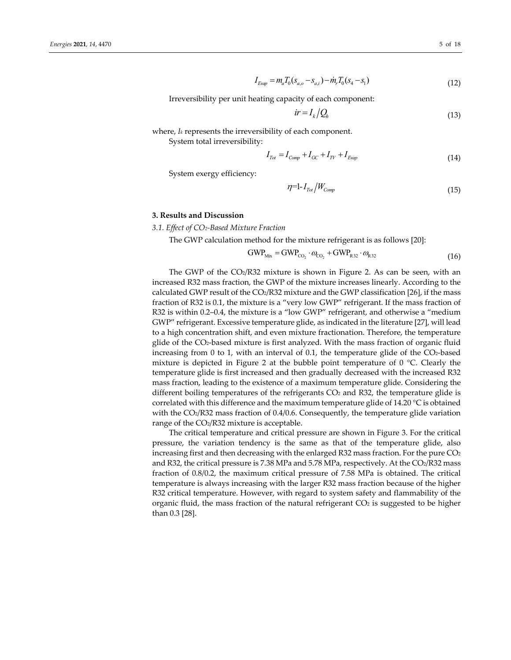$$
I_{Exp} = m_a T_0 (s_{a,o} - s_{a,i}) - \dot{m}_r T_0 (s_4 - s_1)
$$
\n(12)

Irreversibility per unit heating capacity of each component:

$$
ir = I_k / Q_h \tag{13}
$$

where, *Ik* represents the irreversibility of each component.

System total irreversibility:

$$
I_{\text{Tot}} = I_{\text{Comp}} + I_{\text{GC}} + I_{\text{TV}} + I_{\text{Exp}}
$$
\n
$$
(14)
$$

System exergy efficiency:

$$
\eta = 1 - I_{\text{Tot}} / W_{\text{Comp}} \tag{15}
$$

## **3. Results and Discussion**

*3.1. Effect of CO2‐Based Mixture Fraction*

The GWP calculation method for the mixture refrigerant is as follows [20]:

 $GWP_{\text{Mix}} = GWP_{\text{CO}_2} \cdot \omega_{\text{CO}_2} + GWP_{\text{R}32} \cdot \omega_{\text{R}32}$  (16)

The GWP of the  $CO<sub>2</sub>/R32$  mixture is shown in Figure 2. As can be seen, with an increased R32 mass fraction, the GWP of the mixture increases linearly. According to the calculated GWP result of the  $CO<sub>2</sub>/R32$  mixture and the GWP classification [26], if the mass fraction of R32 is 0.1, the mixture is a "very low GWP" refrigerant. If the mass fraction of R32 is within 0.2–0.4, the mixture is a "low GWP" refrigerant, and otherwise a "medium GWP" refrigerant. Excessive temperature glide, as indicated in the literature [27], will lead to a high concentration shift, and even mixture fractionation. Therefore, the temperature glide of the CO2‐based mixture is first analyzed. With the mass fraction of organic fluid increasing from 0 to 1, with an interval of 0.1, the temperature glide of the CO2-based mixture is depicted in Figure 2 at the bubble point temperature of  $0^{\circ}$ C. Clearly the temperature glide is first increased and then gradually decreased with the increased R32 mass fraction, leading to the existence of a maximum temperature glide. Considering the different boiling temperatures of the refrigerants  $CO<sub>2</sub>$  and R32, the temperature glide is correlated with this difference and the maximum temperature glide of 14.20 °C is obtained with the CO<sub>2</sub>/R32 mass fraction of 0.4/0.6. Consequently, the temperature glide variation range of the CO2/R32 mixture is acceptable.

The critical temperature and critical pressure are shown in Figure 3. For the critical pressure, the variation tendency is the same as that of the temperature glide, also increasing first and then decreasing with the enlarged R32 mass fraction. For the pure  $CO<sub>2</sub>$ and R32, the critical pressure is 7.38 MPa and 5.78 MPa, respectively. At the CO2/R32 mass fraction of 0.8/0.2, the maximum critical pressure of 7.58 MPa is obtained. The critical temperature is always increasing with the larger R32 mass fraction because of the higher R32 critical temperature. However, with regard to system safety and flammability of the organic fluid, the mass fraction of the natural refrigerant  $CO<sub>2</sub>$  is suggested to be higher than 0.3 [28].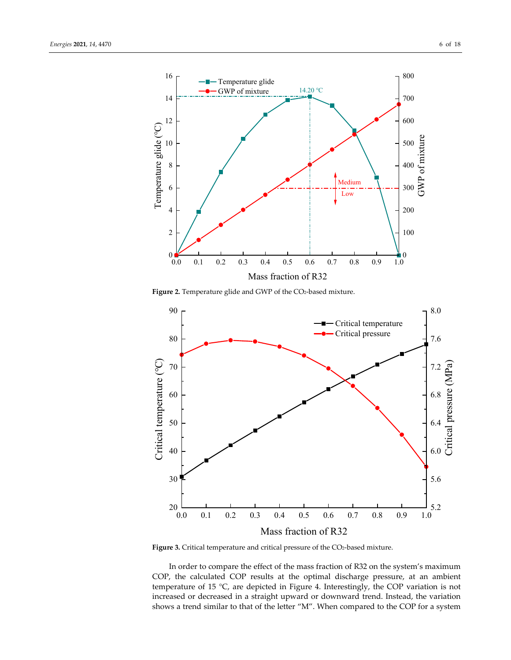

Figure 2. Temperature glide and GWP of the CO<sub>2</sub>-based mixture.



Figure 3. Critical temperature and critical pressure of the CO<sub>2</sub>-based mixture.

In order to compare the effect of the mass fraction of R32 on the system's maximum COP, the calculated COP results at the optimal discharge pressure, at an ambient temperature of 15 °C, are depicted in Figure 4. Interestingly, the COP variation is not increased or decreased in a straight upward or downward trend. Instead, the variation shows a trend similar to that of the letter "M". When compared to the COP for a system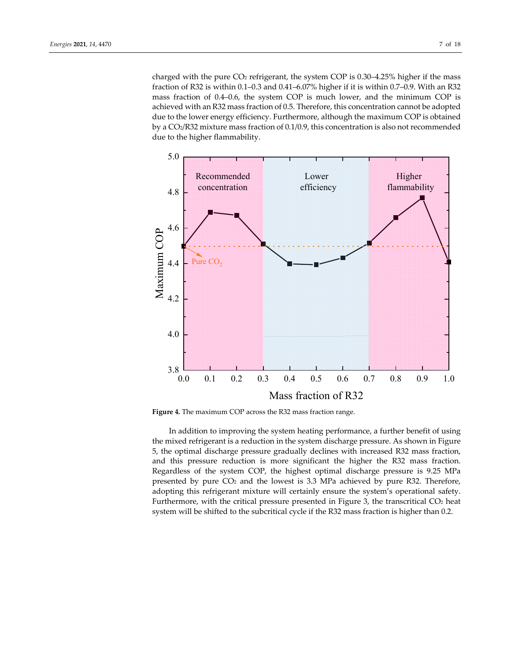charged with the pure  $CO<sub>2</sub>$  refrigerant, the system COP is 0.30–4.25% higher if the mass fraction of R32 is within 0.1–0.3 and 0.41–6.07% higher if it is within 0.7–0.9. With an R32 mass fraction of 0.4–0.6, the system COP is much lower, and the minimum COP is achieved with an R32 mass fraction of 0.5. Therefore, this concentration cannot be adopted due to the lower energy efficiency. Furthermore, although the maximum COP is obtained by a CO2/R32 mixture mass fraction of 0.1/0.9, this concentration is also not recommended due to the higher flammability.





In addition to improving the system heating performance, a further benefit of using the mixed refrigerant is a reduction in the system discharge pressure. As shown in Figure 5, the optimal discharge pressure gradually declines with increased R32 mass fraction, and this pressure reduction is more significant the higher the R32 mass fraction. Regardless of the system COP, the highest optimal discharge pressure is 9.25 MPa presented by pure  $CO<sub>2</sub>$  and the lowest is 3.3 MPa achieved by pure R32. Therefore, adopting this refrigerant mixture will certainly ensure the system's operational safety. Furthermore, with the critical pressure presented in Figure 3, the transcritical  $CO<sub>2</sub>$  heat system will be shifted to the subcritical cycle if the R32 mass fraction is higher than 0.2.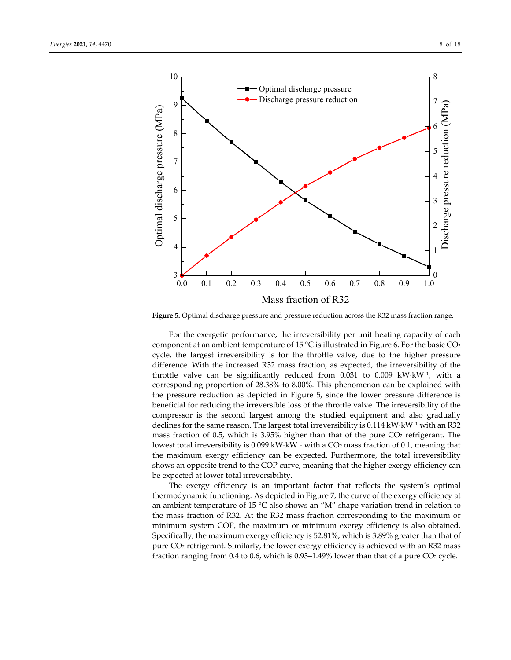

**Figure 5.** Optimal discharge pressure and pressure reduction across the R32 mass fraction range.

For the exergetic performance, the irreversibility per unit heating capacity of each component at an ambient temperature of 15  $\degree$ C is illustrated in Figure 6. For the basic CO<sub>2</sub> cycle, the largest irreversibility is for the throttle valve, due to the higher pressure difference. With the increased R32 mass fraction, as expected, the irreversibility of the throttle valve can be significantly reduced from 0.031 to 0.009 kW⋅kW−1, with a corresponding proportion of 28.38% to 8.00%. This phenomenon can be explained with the pressure reduction as depicted in Figure 5, since the lower pressure difference is beneficial for reducing the irreversible loss of the throttle valve. The irreversibility of the compressor is the second largest among the studied equipment and also gradually declines for the same reason. The largest total irreversibility is 0.114 kW⋅kW−<sup>1</sup> with an R32 mass fraction of 0.5, which is 3.95% higher than that of the pure  $CO<sub>2</sub>$  refrigerant. The lowest total irreversibility is 0.099 kW⋅kW−<sup>1</sup> with a CO2 mass fraction of 0.1, meaning that the maximum exergy efficiency can be expected. Furthermore, the total irreversibility shows an opposite trend to the COP curve, meaning that the higher exergy efficiency can be expected at lower total irreversibility.

The exergy efficiency is an important factor that reflects the system's optimal thermodynamic functioning. As depicted in Figure 7, the curve of the exergy efficiency at an ambient temperature of 15  $\degree$ C also shows an "M" shape variation trend in relation to the mass fraction of R32. At the R32 mass fraction corresponding to the maximum or minimum system COP, the maximum or minimum exergy efficiency is also obtained. Specifically, the maximum exergy efficiency is 52.81%, which is 3.89% greater than that of pure CO2 refrigerant. Similarly, the lower exergy efficiency is achieved with an R32 mass fraction ranging from 0.4 to 0.6, which is  $0.93-1.49\%$  lower than that of a pure CO<sub>2</sub> cycle.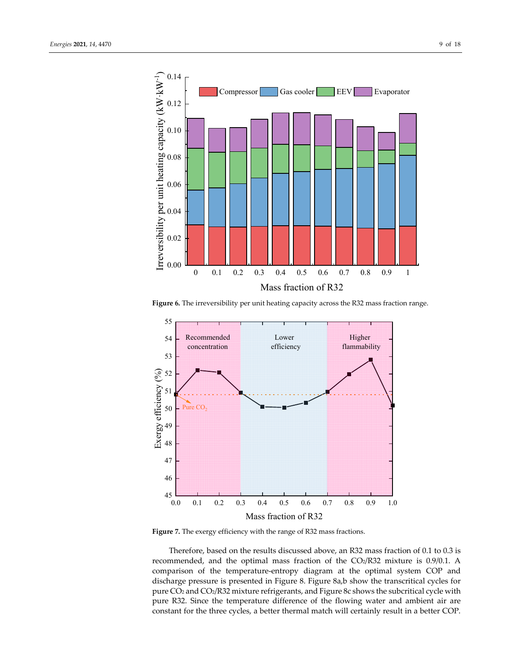



**Figure 6.** The irreversibility per unit heating capacity across the R32 mass fraction range.



**Figure 7.** The exergy efficiency with the range of R32 mass fractions.

Therefore, based on the results discussed above, an R32 mass fraction of 0.1 to 0.3 is recommended, and the optimal mass fraction of the CO2/R32 mixture is 0.9/0.1. A comparison of the temperature‐entropy diagram at the optimal system COP and discharge pressure is presented in Figure 8. Figure 8a,b show the transcritical cycles for pure CO2 and CO2/R32 mixture refrigerants, and Figure 8c shows the subcritical cycle with pure R32. Since the temperature difference of the flowing water and ambient air are constant for the three cycles, a better thermal match will certainly result in a better COP.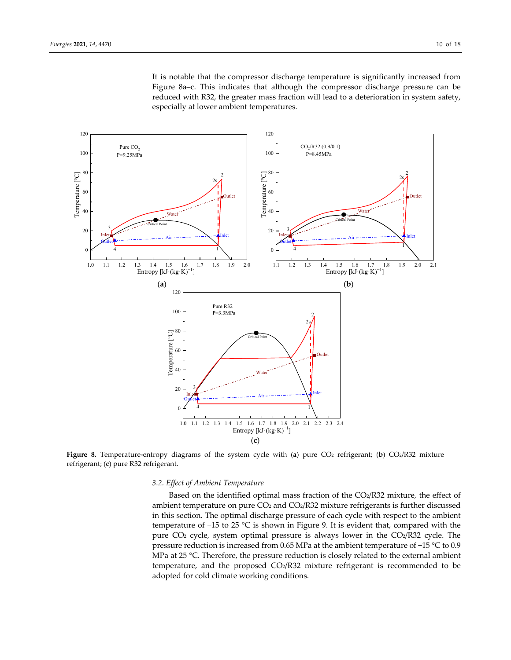It is notable that the compressor discharge temperature is significantly increased from Figure 8a–c. This indicates that although the compressor discharge pressure can be reduced with R32, the greater mass fraction will lead to a deterioration in system safety, especially at lower ambient temperatures.



**Figure** 8. Temperature-entropy diagrams of the system cycle with (a) pure CO<sub>2</sub> refrigerant; (b) CO<sub>2</sub>/R32 mixture refrigerant; (**c**) pure R32 refrigerant.

#### *3.2. Effect of Ambient Temperature*

Based on the identified optimal mass fraction of the CO2/R32 mixture, the effect of ambient temperature on pure  $CO<sub>2</sub>$  and  $CO<sub>2</sub>/R32$  mixture refrigerants is further discussed in this section. The optimal discharge pressure of each cycle with respect to the ambient temperature of −15 to 25 °C is shown in Figure 9. It is evident that, compared with the pure CO<sub>2</sub> cycle, system optimal pressure is always lower in the CO<sub>2</sub>/R32 cycle. The pressure reduction is increased from 0.65 MPa at the ambient temperature of −15 °C to 0.9 MPa at 25 °C. Therefore, the pressure reduction is closely related to the external ambient temperature, and the proposed CO2/R32 mixture refrigerant is recommended to be adopted for cold climate working conditions.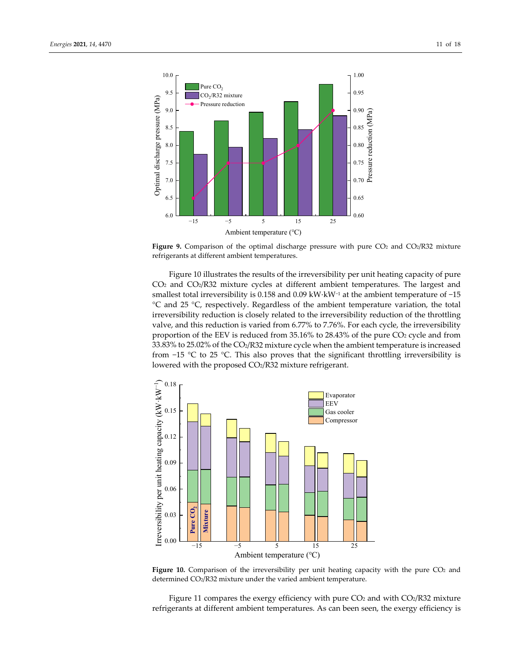

Figure 9. Comparison of the optimal discharge pressure with pure CO<sub>2</sub> and CO<sub>2</sub>/R32 mixture refrigerants at different ambient temperatures.

Figure 10 illustrates the results of the irreversibility per unit heating capacity of pure  $CO<sub>2</sub>$  and  $CO<sub>2</sub>/R32$  mixture cycles at different ambient temperatures. The largest and smallest total irreversibility is 0.158 and 0.09 kW⋅kW<sup>-1</sup> at the ambient temperature of -15 °C and 25 °C, respectively. Regardless of the ambient temperature variation, the total irreversibility reduction is closely related to the irreversibility reduction of the throttling valve, and this reduction is varied from 6.77% to 7.76%. For each cycle, the irreversibility proportion of the EEV is reduced from 35.16% to 28.43% of the pure CO2 cycle and from 33.83% to 25.02% of the CO2/R32 mixture cycle when the ambient temperature is increased from −15 °C to 25 °C. This also proves that the significant throttling irreversibility is lowered with the proposed CO2/R32 mixture refrigerant.



**Figure 10.** Comparison of the irreversibility per unit heating capacity with the pure CO<sub>2</sub> and determined CO2/R32 mixture under the varied ambient temperature.

Figure 11 compares the exergy efficiency with pure  $CO<sub>2</sub>$  and with  $CO<sub>2</sub>/R32$  mixture refrigerants at different ambient temperatures. As can been seen, the exergy efficiency is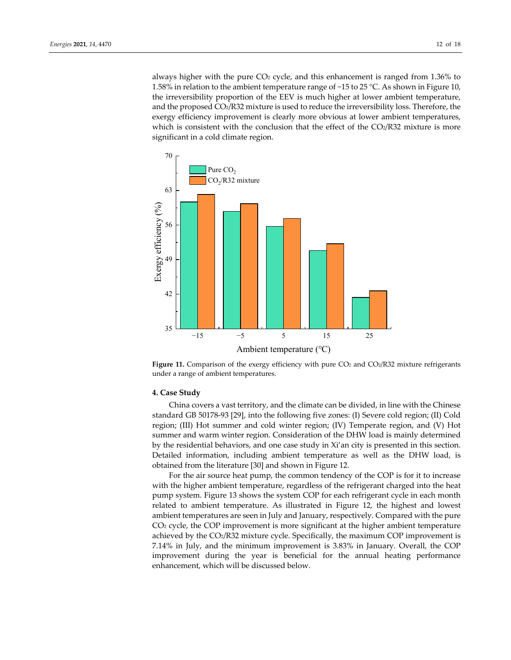always higher with the pure  $CO<sub>2</sub>$  cycle, and this enhancement is ranged from 1.36% to 1.58% in relation to the ambient temperature range of −15 to 25 °C. As shown in Figure 10, the irreversibility proportion of the EEV is much higher at lower ambient temperature, and the proposed CO2/R32 mixture is used to reduce the irreversibility loss. Therefore, the exergy efficiency improvement is clearly more obvious at lower ambient temperatures, which is consistent with the conclusion that the effect of the  $CO<sub>2</sub>/R32$  mixture is more significant in a cold climate region.





#### **4. Case Study**

China covers a vast territory, and the climate can be divided, in line with the Chinese standard GB 50178‐93 [29], into the following five zones: (I) Severe cold region; (II) Cold region; (III) Hot summer and cold winter region; (IV) Temperate region, and (V) Hot summer and warm winter region. Consideration of the DHW load is mainly determined by the residential behaviors, and one case study in Xi'an city is presented in this section. Detailed information, including ambient temperature as well as the DHW load, is obtained from the literature [30] and shown in Figure 12.

For the air source heat pump, the common tendency of the COP is for it to increase with the higher ambient temperature, regardless of the refrigerant charged into the heat pump system. Figure 13 shows the system COP for each refrigerant cycle in each month related to ambient temperature. As illustrated in Figure 12, the highest and lowest ambient temperatures are seen in July and January, respectively. Compared with the pure CO2 cycle, the COP improvement is more significant at the higher ambient temperature achieved by the CO2/R32 mixture cycle. Specifically, the maximum COP improvement is 7.14% in July, and the minimum improvement is 3.83% in January. Overall, the COP improvement during the year is beneficial for the annual heating performance enhancement, which will be discussed below.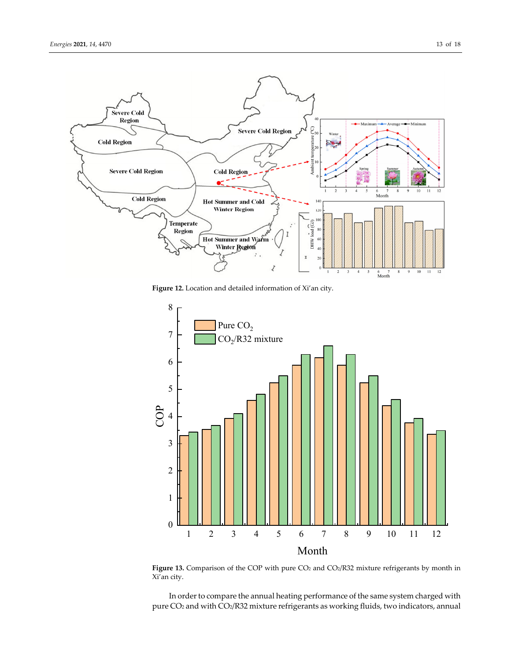

**Figure 12.** Location and detailed information of Xi'an city.



Figure 13. Comparison of the COP with pure CO<sub>2</sub> and CO<sub>2</sub>/R32 mixture refrigerants by month in Xi'an city.

In order to compare the annual heating performance of the same system charged with pure CO<sub>2</sub> and with CO<sub>2</sub>/R32 mixture refrigerants as working fluids, two indicators, annual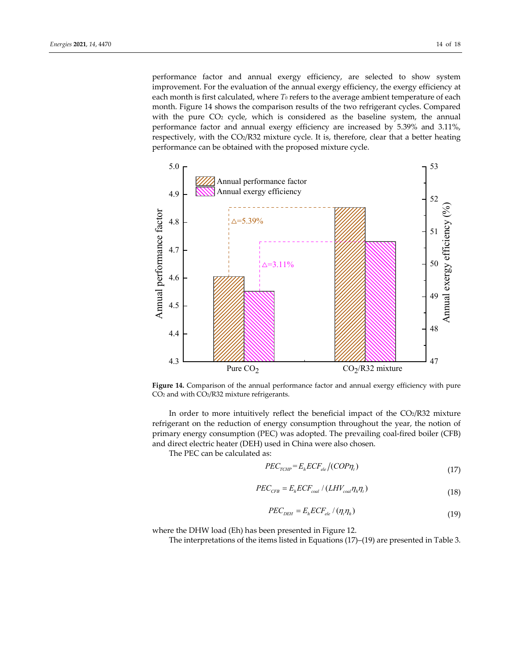performance factor and annual exergy efficiency, are selected to show system improvement. For the evaluation of the annual exergy efficiency, the exergy efficiency at each month is first calculated, where *T*<sub>0</sub> refers to the average ambient temperature of each month. Figure 14 shows the comparison results of the two refrigerant cycles. Compared with the pure CO2 cycle, which is considered as the baseline system, the annual performance factor and annual exergy efficiency are increased by 5.39% and 3.11%, respectively, with the CO2/R32 mixture cycle. It is, therefore, clear that a better heating performance can be obtained with the proposed mixture cycle.



**Figure 14.** Comparison of the annual performance factor and annual exergy efficiency with pure CO2 and with CO2/R32 mixture refrigerants.

In order to more intuitively reflect the beneficial impact of the  $CO<sub>2</sub>/R32$  mixture refrigerant on the reduction of energy consumption throughout the year, the notion of primary energy consumption (PEC) was adopted. The prevailing coal‐fired boiler (CFB) and direct electric heater (DEH) used in China were also chosen.

The PEC can be calculated as:

$$
PEC_{\text{TCHP}} = E_h ECF_{ele} / (COP\eta_t)
$$
\n(17)

$$
PEC_{CFB} = E_h ECF_{coal} / (LHV_{coal}\eta_h\eta_t)
$$
\n(18)

$$
PEC_{DEH} = E_{h} ECF_{ele} / (\eta_{t} \eta_{h})
$$
\n(19)

where the DHW load (Eh) has been presented in Figure 12.

The interpretations of the items listed in Equations (17)–(19) are presented in Table 3.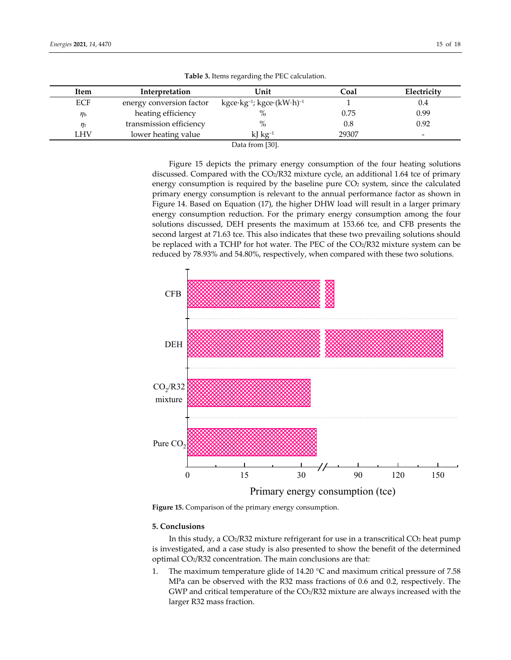| Item           | Interpretation           | Unit                                                             | Coal  | Electricity |
|----------------|--------------------------|------------------------------------------------------------------|-------|-------------|
| <b>ECF</b>     | energy conversion factor | $kgce \cdot kg^{-1}$ ; kgce $\cdot$ (kW $\cdot$ h) <sup>-1</sup> |       | 0.4         |
| $\eta_{\rm h}$ | heating efficiency       | $\%$                                                             | 0.75  | 0.99        |
| $\eta_{\rm t}$ | transmission efficiency  | $\%$                                                             | 0.8   | 0.92        |
| LHV            | lower heating value      | $\kappa$ J kg <sup>-1</sup>                                      | 29307 | -           |
|                |                          | 5001<br>$\mathbf{r}$ . $\epsilon$                                |       |             |

**Table 3.** Items regarding the PEC calculation.

Data from [30].

Figure 15 depicts the primary energy consumption of the four heating solutions discussed. Compared with the CO2/R32 mixture cycle, an additional 1.64 tce of primary energy consumption is required by the baseline pure  $CO<sub>2</sub>$  system, since the calculated primary energy consumption is relevant to the annual performance factor as shown in Figure 14. Based on Equation (17), the higher DHW load will result in a larger primary energy consumption reduction. For the primary energy consumption among the four solutions discussed, DEH presents the maximum at 153.66 tce, and CFB presents the second largest at 71.63 tce. This also indicates that these two prevailing solutions should be replaced with a TCHP for hot water. The PEC of the  $CO<sub>2</sub>/R32$  mixture system can be reduced by 78.93% and 54.80%, respectively, when compared with these two solutions.



**Figure 15.** Comparison of the primary energy consumption.

## **5. Conclusions**

In this study, a  $CO<sub>2</sub>/R32$  mixture refrigerant for use in a transcritical  $CO<sub>2</sub>$  heat pump is investigated, and a case study is also presented to show the benefit of the determined optimal CO2/R32 concentration. The main conclusions are that:

1. The maximum temperature glide of 14.20 °C and maximum critical pressure of 7.58 MPa can be observed with the R32 mass fractions of 0.6 and 0.2, respectively. The GWP and critical temperature of the  $CO<sub>2</sub>/R32$  mixture are always increased with the larger R32 mass fraction.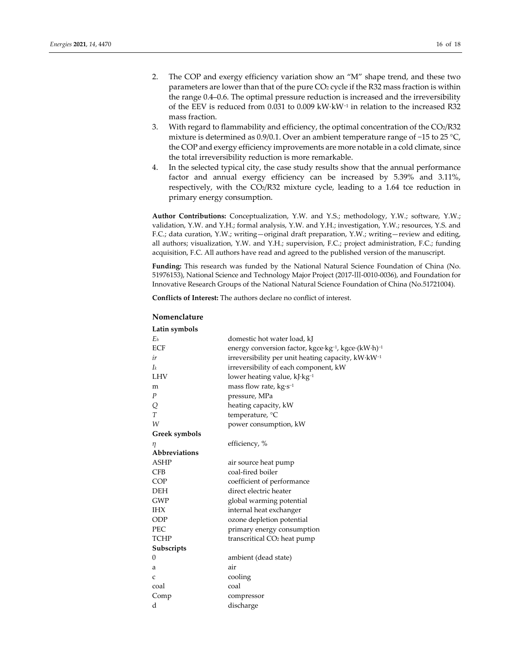- 2. The COP and exergy efficiency variation show an "M" shape trend, and these two parameters are lower than that of the pure CO<sub>2</sub> cycle if the R32 mass fraction is within the range 0.4–0.6. The optimal pressure reduction is increased and the irreversibility of the EEV is reduced from 0.031 to 0.009 kW⋅kW−<sup>1</sup> in relation to the increased R32 mass fraction.
- 3. With regard to flammability and efficiency, the optimal concentration of the  $CO<sub>2</sub>/R32$ mixture is determined as 0.9/0.1. Over an ambient temperature range of −15 to 25 °C, the COP and exergy efficiency improvements are more notable in a cold climate, since the total irreversibility reduction is more remarkable.
- 4. In the selected typical city, the case study results show that the annual performance factor and annual exergy efficiency can be increased by 5.39% and 3.11%, respectively, with the CO2/R32 mixture cycle, leading to a 1.64 tce reduction in primary energy consumption.

**Author Contributions:** Conceptualization, Y.W. and Y.S.; methodology, Y.W.; software, Y.W.; validation, Y.W. and Y.H.; formal analysis, Y.W. and Y.H.; investigation, Y.W.; resources, Y.S. and F.C.; data curation, Y.W.; writing—original draft preparation, Y.W.; writing—review and editing, all authors; visualization, Y.W. and Y.H.; supervision, F.C.; project administration, F.C.; funding acquisition, F.C. All authors have read and agreed to the published version of the manuscript.

**Funding:** This research was funded by the National Natural Science Foundation of China (No. 51976153), National Science and Technology Major Project (2017‐Ⅲ‐0010‐0036), and Foundation for Innovative Research Groups of the National Natural Science Foundation of China (No.51721004).

**Conflicts of Interest:** The authors declare no conflict of interest.

## **Nomenclature**

| Latin symbols    |                                                                             |
|------------------|-----------------------------------------------------------------------------|
| E <sub>h</sub>   | domestic hot water load, kJ                                                 |
| <b>ECF</b>       | energy conversion factor, kgce kg <sup>-1</sup> , kgce (kW·h) <sup>-1</sup> |
| ir               | irreversibility per unit heating capacity, kW·kW <sup>-1</sup>              |
| $I_k$            | irreversibility of each component, kW                                       |
| <b>LHV</b>       | lower heating value, kJ·kg <sup>-1</sup>                                    |
| m                | mass flow rate, $kg·s^{-1}$                                                 |
| $\boldsymbol{P}$ | pressure, MPa                                                               |
| Q                | heating capacity, kW                                                        |
| T                | temperature, °C                                                             |
| W                | power consumption, kW                                                       |
| Greek symbols    |                                                                             |
| η                | efficiency, %                                                               |
| Abbreviations    |                                                                             |
| <b>ASHP</b>      | air source heat pump                                                        |
| <b>CFB</b>       | coal-fired boiler                                                           |
| <b>COP</b>       | coefficient of performance                                                  |
| <b>DEH</b>       | direct electric heater                                                      |
| <b>GWP</b>       | global warming potential                                                    |
| <b>IHX</b>       | internal heat exchanger                                                     |
| ODP              | ozone depletion potential                                                   |
| PEC              | primary energy consumption                                                  |
| <b>TCHP</b>      | transcritical CO <sub>2</sub> heat pump                                     |
| Subscripts       |                                                                             |
| 0                | ambient (dead state)                                                        |
| а                | air                                                                         |
| C                | cooling                                                                     |
| coal             | coal                                                                        |
| Comp             | compressor                                                                  |
| d                | discharge                                                                   |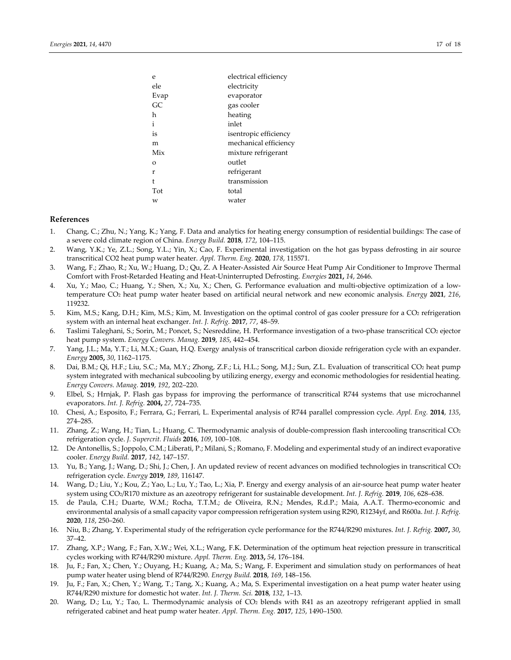| e       | electrical efficiency |
|---------|-----------------------|
| ele     | electricity           |
| Evap    | evaporator            |
| GC      | gas cooler            |
| h       | heating               |
| i       | inlet                 |
| is      | isentropic efficiency |
| m       | mechanical efficiency |
| Mix     | mixture refrigerant   |
| $\circ$ | outlet                |
| r       | refrigerant           |
| t       | transmission          |
| Tot     | total                 |
| W       | water                 |

## **References**

- 1. Chang, C.; Zhu, N.; Yang, K.; Yang, F. Data and analytics for heating energy consumption of residential buildings: The case of a severe cold climate region of China. *Energy Build.* **2018**, *172*, 104–115.
- 2. Wang, Y.K.; Ye, Z.L.; Song, Y.L.; Yin, X.; Cao, F. Experimental investigation on the hot gas bypass defrosting in air source transcritical CO2 heat pump water heater. *Appl. Therm. Eng.* **2020**, *178*, 115571.
- 3. Wang, F.; Zhao, R.; Xu, W.; Huang, D.; Qu, Z. A Heater‐Assisted Air Source Heat Pump Air Conditioner to Improve Thermal Comfort with Frost‐Retarded Heating and Heat‐Uninterrupted Defrosting. *Energies* **2021,** *14*, 2646.
- 4. Xu, Y.; Mao, C.; Huang, Y.; Shen, X.; Xu, X.; Chen, G. Performance evaluation and multi-objective optimization of a lowtemperature CO2 heat pump water heater based on artificial neural network and new economic analysis. *Energy* **2021**, *216*, 119232.
- 5. Kim, M.S.; Kang, D.H.; Kim, M.S.; Kim, M. Investigation on the optimal control of gas cooler pressure for a CO2 refrigeration system with an internal heat exchanger. *Int. J. Refrig.* **2017**, *77*, 48–59.
- 6. Taslimi Taleghani, S.; Sorin, M.; Poncet, S.; Nesreddine, H. Performance investigation of a two‐phase transcritical CO2 ejector heat pump system. *Energy Convers. Manag.* **2019**, *185*, 442–454.
- 7. Yang, J.L.; Ma, Y.T.; Li, M.X.; Guan, H.Q. Exergy analysis of transcritical carbon dioxide refrigeration cycle with an expander. *Energy* **2005,** *30*, 1162–1175.
- 8. Dai, B.M.; Qi, H.F.; Liu, S.C.; Ma, M.Y.; Zhong, Z.F.; Li, H.L.; Song, M.J.; Sun, Z.L. Evaluation of transcritical CO2 heat pump system integrated with mechanical subcooling by utilizing energy, exergy and economic methodologies for residential heating. *Energy Convers. Manag.* **2019**, *192*, 202–220.
- 9. Elbel, S.; Hrnjak, P. Flash gas bypass for improving the performance of transcritical R744 systems that use microchannel evaporators. *Int. J. Refrig.* **2004,** *27*, 724–735.
- 10. Chesi, A.; Esposito, F.; Ferrara, G.; Ferrari, L. Experimental analysis of R744 parallel compression cycle. *Appl. Eng.* **2014**, *135*, 274–285.
- 11. Zhang, Z.; Wang, H.; Tian, L.; Huang, C. Thermodynamic analysis of double-compression flash intercooling transcritical CO2 refrigeration cycle. *J. Supercrit. Fluids* **2016**, *109*, 100–108.
- 12. De Antonellis, S.; Joppolo, C.M.; Liberati, P.; Milani, S.; Romano, F. Modeling and experimental study of an indirect evaporative cooler. *Energy Build.* **2017**, *142*, 147–157.
- 13. Yu, B.; Yang, J.; Wang, D.; Shi, J.; Chen, J. An updated review of recent advances on modified technologies in transcritical CO2 refrigeration cycle. *Energy* **2019**, *189*, 116147.
- 14. Wang, D.; Liu, Y.; Kou, Z.; Yao, L.; Lu, Y.; Tao, L.; Xia, P. Energy and exergy analysis of an air‐source heat pump water heater system using CO2/R170 mixture as an azeotropy refrigerant for sustainable development. *Int. J. Refrig.* **2019**, *106*, 628–638.
- 15. de Paula, C.H.; Duarte, W.M.; Rocha, T.T.M.; de Oliveira, R.N.; Mendes, R.d.P.; Maia, A.A.T. Thermo‐economic and environmental analysis of a small capacity vapor compression refrigeration system using R290, R1234yf, and R600a. *Int. J. Refrig.* **2020**, *118*, 250–260.
- 16. Niu, B.; Zhang, Y. Experimental study of the refrigeration cycle performance for the R744/R290 mixtures. *Int. J. Refrig.* **2007,** *30*, 37–42.
- 17. Zhang, X.P.; Wang, F.; Fan, X.W.; Wei, X.L.; Wang, F.K. Determination of the optimum heat rejection pressure in transcritical cycles working with R744/R290 mixture. *Appl. Therm. Eng.* **2013,** *54*, 176–184.
- 18. Ju, F.; Fan, X.; Chen, Y.; Ouyang, H.; Kuang, A.; Ma, S.; Wang, F. Experiment and simulation study on performances of heat pump water heater using blend of R744/R290. *Energy Build.* **2018**, *169*, 148–156.
- 19. Ju, F.; Fan, X.; Chen, Y.; Wang, T.; Tang, X.; Kuang, A.; Ma, S. Experimental investigation on a heat pump water heater using R744/R290 mixture for domestic hot water. *Int. J. Therm. Sci.* **2018**, *132*, 1–13.
- 20. Wang, D.; Lu, Y.; Tao, L. Thermodynamic analysis of CO2 blends with R41 as an azeotropy refrigerant applied in small refrigerated cabinet and heat pump water heater. *Appl. Therm. Eng.* **2017**, *125*, 1490–1500.